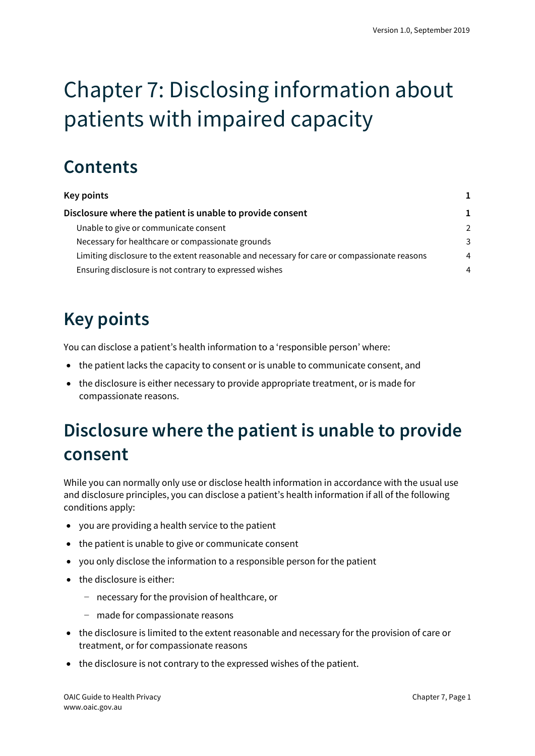# Chapter 7: Disclosing information about patients with impaired capacity

## **Contents**

| Key points                                                                                   |               |
|----------------------------------------------------------------------------------------------|---------------|
| Disclosure where the patient is unable to provide consent                                    | 1             |
| Unable to give or communicate consent                                                        | $\mathcal{P}$ |
| Necessary for healthcare or compassionate grounds                                            | 3             |
| Limiting disclosure to the extent reasonable and necessary for care or compassionate reasons | 4             |
| Ensuring disclosure is not contrary to expressed wishes                                      | 4             |

## <span id="page-0-0"></span>**Key points**

You can disclose a patient's health information to a 'responsible person' where:

- the patient lacks the capacity to consent or is unable to communicate consent, and
- the disclosure is either necessary to provide appropriate treatment, or is made for compassionate reasons.

## <span id="page-0-1"></span>**Disclosure where the patient is unable to provide consent**

While you can normally only use or disclose health information in accordance with the usual use and disclosure principles, you can disclose a patient's health information if all of the following conditions apply:

- you are providing a health service to the patient
- the patient is unable to give or communicate consent
- you only disclose the information to a responsible person for the patient
- the disclosure is either:
	- − necessary for the provision of healthcare, or
	- − made for compassionate reasons
- the disclosure is limited to the extent reasonable and necessary for the provision of care or treatment, or for compassionate reasons
- the disclosure is not contrary to the expressed wishes of the patient.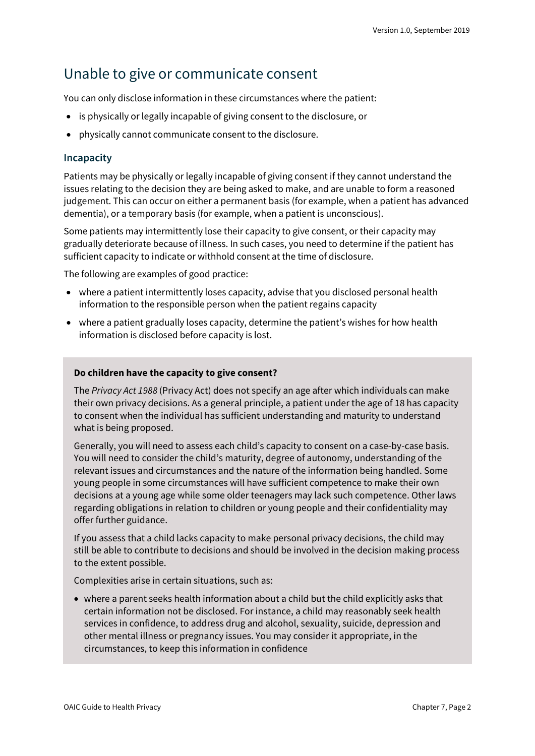### <span id="page-1-0"></span>Unable to give or communicate consent

You can only disclose information in these circumstances where the patient:

- is physically or legally incapable of giving consent to the disclosure, or
- physically cannot communicate consent to the disclosure.

#### **Incapacity**

Patients may be physically or legally incapable of giving consent if they cannot understand the issues relating to the decision they are being asked to make, and are unable to form a reasoned judgement. This can occur on either a permanent basis (for example, when a patient has advanced dementia), or a temporary basis (for example, when a patient is unconscious).

Some patients may intermittently lose their capacity to give consent, or their capacity may gradually deteriorate because of illness. In such cases, you need to determine if the patient has sufficient capacity to indicate or withhold consent at the time of disclosure.

The following are examples of good practice:

- where a patient intermittently loses capacity, advise that you disclosed personal health information to the responsible person when the patient regains capacity
- where a patient gradually loses capacity, determine the patient's wishes for how health information is disclosed before capacity is lost.

#### **Do children have the capacity to give consent?**

The *Privacy Act 1988* (Privacy Act) does not specify an age after which individuals can make their own privacy decisions. As a general principle, a patient under the age of 18 has capacity to consent when the individual has sufficient understanding and maturity to understand what is being proposed.

Generally, you will need to assess each child's capacity to consent on a case-by-case basis. You will need to consider the child's maturity, degree of autonomy, understanding of the relevant issues and circumstances and the nature of the information being handled. Some young people in some circumstances will have sufficient competence to make their own decisions at a young age while some older teenagers may lack such competence. Other laws regarding obligations in relation to children or young people and their confidentiality may offer further guidance.

If you assess that a child lacks capacity to make personal privacy decisions, the child may still be able to contribute to decisions and should be involved in the decision making process to the extent possible.

Complexities arise in certain situations, such as:

• where a parent seeks health information about a child but the child explicitly asks that certain information not be disclosed. For instance, a child may reasonably seek health services in confidence, to address drug and alcohol, sexuality, suicide, depression and other mental illness or pregnancy issues. You may consider it appropriate, in the circumstances, to keep this information in confidence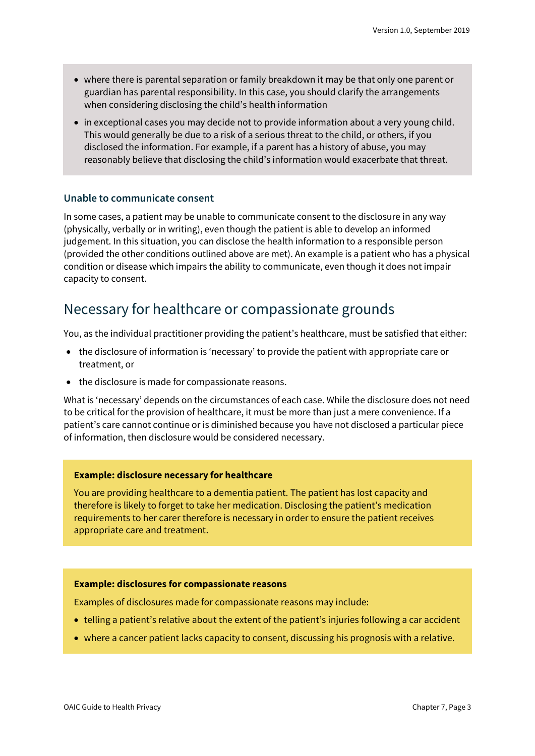- where there is parental separation or family breakdown it may be that only one parent or guardian has parental responsibility. In this case, you should clarify the arrangements when considering disclosing the child's health information
- in exceptional cases you may decide not to provide information about a very young child. This would generally be due to a risk of a serious threat to the child, or others, if you disclosed the information. For example, if a parent has a history of abuse, you may reasonably believe that disclosing the child's information would exacerbate that threat.

#### **Unable to communicate consent**

In some cases, a patient may be unable to communicate consent to the disclosure in any way (physically, verbally or in writing), even though the patient is able to develop an informed judgement. In this situation, you can disclose the health information to a responsible person (provided the other conditions outlined above are met). An example is a patient who has a physical condition or disease which impairs the ability to communicate, even though it does not impair capacity to consent.

### <span id="page-2-0"></span>Necessary for healthcare or compassionate grounds

You, as the individual practitioner providing the patient's healthcare, must be satisfied that either:

- the disclosure of information is 'necessary' to provide the patient with appropriate care or treatment, or
- the disclosure is made for compassionate reasons.

What is 'necessary' depends on the circumstances of each case. While the disclosure does not need to be critical for the provision of healthcare, it must be more than just a mere convenience. If a patient's care cannot continue or is diminished because you have not disclosed a particular piece of information, then disclosure would be considered necessary.

#### **Example: disclosure necessary for healthcare**

You are providing healthcare to a dementia patient. The patient has lost capacity and therefore is likely to forget to take her medication. Disclosing the patient's medication requirements to her carer therefore is necessary in order to ensure the patient receives appropriate care and treatment.

#### **Example: disclosures for compassionate reasons**

Examples of disclosures made for compassionate reasons may include:

- telling a patient's relative about the extent of the patient's injuries following a car accident
- where a cancer patient lacks capacity to consent, discussing his prognosis with a relative.